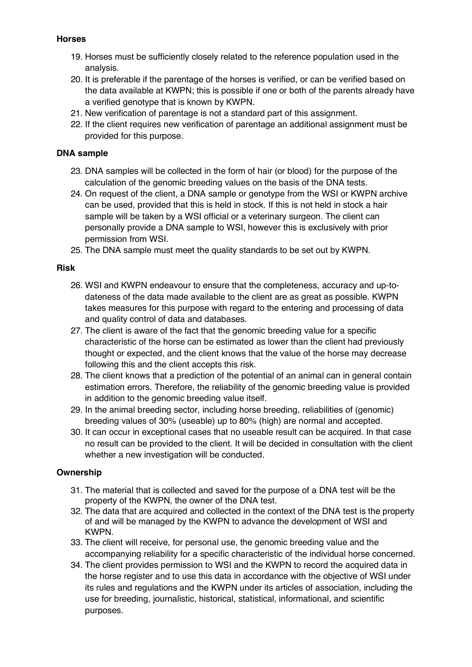### **Horses**

- 19. Horses must be sufficiently closely related to the reference population used in the analysis.
- 20. It is preferable if the parentage of the horses is verified, or can be verified based on the data available at KWPN; this is possible if one or both of the parents already have a verified genotype that is known by KWPN.
- 21. New verification of parentage is not a standard part of this assignment.
- 22. If the client requires new verification of parentage an additional assignment must be provided for this purpose.

### **DNA sample**

- 23. DNA samples will be collected in the form of hair (or blood) for the purpose of the calculation of the genomic breeding values on the basis of the DNA tests.
- 24. On request of the client, a DNA sample or genotype from the WSI or KWPN archive can be used, provided that this is held in stock. If this is not held in stock a hair sample will be taken by a WSI official or a veterinary surgeon. The client can personally provide a DNA sample to WSI, however this is exclusively with prior permission from WSI.
- 25. The DNA sample must meet the quality standards to be set out by KWPN.

#### **Risk**

- 26. WSI and KWPN endeavour to ensure that the completeness, accuracy and up-todateness of the data made available to the client are as great as possible. KWPN takes measures for this purpose with regard to the entering and processing of data and quality control of data and databases.
- 27. The client is aware of the fact that the genomic breeding value for a specific characteristic of the horse can be estimated as lower than the client had previously thought or expected, and the client knows that the value of the horse may decrease following this and the client accepts this risk.
- 28. The client knows that a prediction of the potential of an animal can in general contain estimation errors. Therefore, the reliability of the genomic breeding value is provided in addition to the genomic breeding value itself.
- 29. In the animal breeding sector, including horse breeding, reliabilities of (genomic) breeding values of 30% (useable) up to 80% (high) are normal and accepted.
- 30. It can occur in exceptional cases that no useable result can be acquired. In that case no result can be provided to the client. It will be decided in consultation with the client whether a new investigation will be conducted.

## **Ownership**

- 31. The material that is collected and saved for the purpose of a DNA test will be the property of the KWPN, the owner of the DNA test.
- 32. The data that are acquired and collected in the context of the DNA test is the property of and will be managed by the KWPN to advance the development of WSI and KWPN.
- 33. The client will receive, for personal use, the genomic breeding value and the accompanying reliability for a specific characteristic of the individual horse concerned.
- 34. The client provides permission to WSI and the KWPN to record the acquired data in the horse register and to use this data in accordance with the objective of WSI under its rules and regulations and the KWPN under its articles of association, including the use for breeding, journalistic, historical, statistical, informational, and scientific purposes.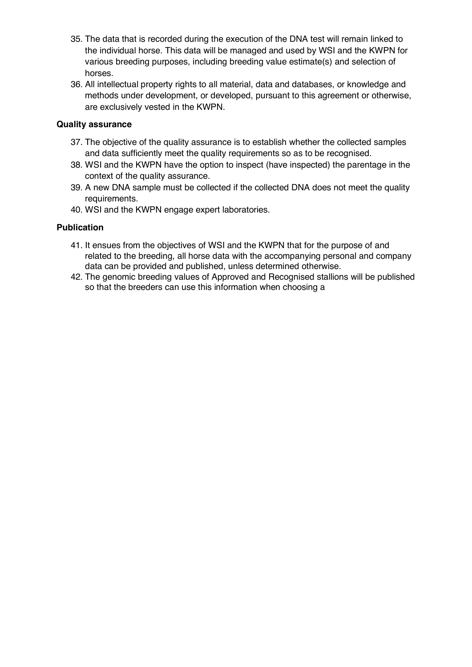- 35. The data that is recorded during the execution of the DNA test will remain linked to the individual horse. This data will be managed and used by WSI and the KWPN for various breeding purposes, including breeding value estimate(s) and selection of horses.
- 36. All intellectual property rights to all material, data and databases, or knowledge and methods under development, or developed, pursuant to this agreement or otherwise, are exclusively vested in the KWPN.

#### **Quality assurance**

- 37. The objective of the quality assurance is to establish whether the collected samples and data sufficiently meet the quality requirements so as to be recognised.
- 38. WSI and the KWPN have the option to inspect (have inspected) the parentage in the context of the quality assurance.
- 39. A new DNA sample must be collected if the collected DNA does not meet the quality requirements.
- 40. WSI and the KWPN engage expert laboratories.

#### **Publication**

- 41. It ensues from the objectives of WSI and the KWPN that for the purpose of and related to the breeding, all horse data with the accompanying personal and company data can be provided and published, unless determined otherwise. so that the breeders can use this information when choosing a<br>so that the pulling requirements.<br>WSI and the KWPN engage expert laboratories.<br>ation<br>It ensues from the objectives of WSI and the KWPN that for the purpose of a
- 42. The genomic breeding values of Approved and Recognised stallions will be published